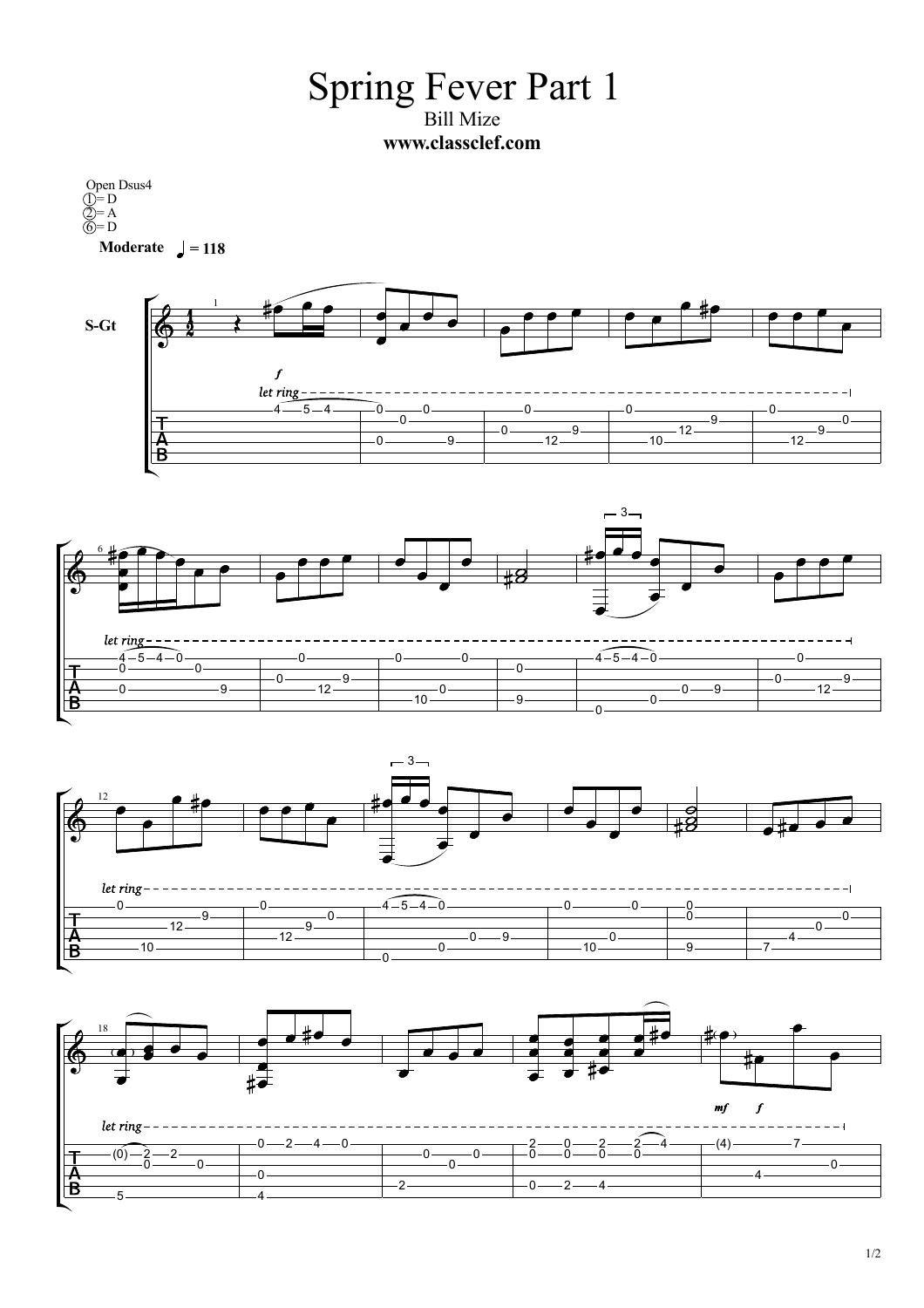Spring Fever Part 1 Bill Mize **www.classclef.com**

**Moderate**  $\sqrt{ } = 118$ Open Dsus4  $\hat{D} = D$  $2 = A$  $\widehat{\mathbb{G}}$  = D